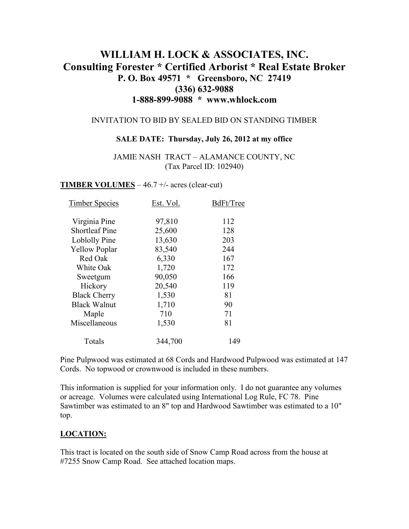# **WILLIAM H. LOCK & ASSOCIATES, INC. Consulting Forester \* Certified Arborist \* Real Estate Broker P. O. Box 49571 \* Greensboro, NC 27419 (336) 632-9088 1-888-899-9088 \* www.whlock.com**

#### INVITATION TO BID BY SEALED BID ON STANDING TIMBER

#### **SALE DATE: Thursday, July 26, 2012 at my office**

JAMIE NASH TRACT – ALAMANCE COUNTY, NC (Tax Parcel ID: 102940)

**TIMBER VOLUMES** – 46.7 +/- acres (clear-cut)

| <b>Timber Species</b> | Est. Vol. | BdFt/Tree |
|-----------------------|-----------|-----------|
| Virginia Pine         | 97,810    | 112       |
| <b>Shortleaf Pine</b> | 25,600    | 128       |
| Loblolly Pine         | 13,630    | 203       |
| <b>Yellow Poplar</b>  | 83,540    | 244       |
| Red Oak               | 6,330     | 167       |
| White Oak             | 1,720     | 172       |
| Sweetgum              | 90,050    | 166       |
| Hickory               | 20,540    | 119       |
| <b>Black Cherry</b>   | 1,530     | 81        |
| <b>Black Walnut</b>   | 1,710     | 90        |
| Maple                 | 710       | 71        |
| Miscellaneous         | 1,530     | 81        |
| Totals                | 344,700   | 149       |

Pine Pulpwood was estimated at 68 Cords and Hardwood Pulpwood was estimated at 147 Cords. No topwood or crownwood is included in these numbers.

This information is supplied for your information only. I do not guarantee any volumes or acreage. Volumes were calculated using International Log Rule, FC 78. Pine Sawtimber was estimated to an 8" top and Hardwood Sawtimber was estimated to a 10" top.

### **LOCATION:**

This tract is located on the south side of Snow Camp Road across from the house at #7255 Snow Camp Road. See attached location maps.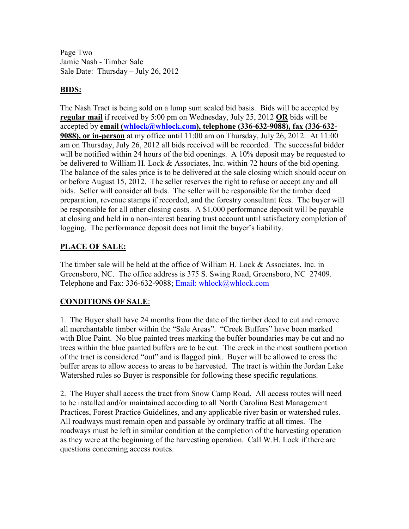Page Two Jamie Nash - Timber Sale Sale Date: Thursday – July 26, 2012

### **BIDS:**

The Nash Tract is being sold on a lump sum sealed bid basis. Bids will be accepted by **regular mail** if received by 5:00 pm on Wednesday, July 25, 2012 **OR** bids will be accepted by **email (whlock@whlock.com), telephone (336-632-9088), fax (336-632- 9088), or in-person** at my office until 11:00 am on Thursday, July 26, 2012. At 11:00 am on Thursday, July 26, 2012 all bids received will be recorded. The successful bidder will be notified within 24 hours of the bid openings. A 10% deposit may be requested to be delivered to William H. Lock & Associates, Inc. within 72 hours of the bid opening. The balance of the sales price is to be delivered at the sale closing which should occur on or before August 15, 2012. The seller reserves the right to refuse or accept any and all bids. Seller will consider all bids. The seller will be responsible for the timber deed preparation, revenue stamps if recorded, and the forestry consultant fees. The buyer will be responsible for all other closing costs. A \$1,000 performance deposit will be payable at closing and held in a non-interest bearing trust account until satisfactory completion of logging. The performance deposit does not limit the buyer's liability.

### **PLACE OF SALE:**

The timber sale will be held at the office of William H. Lock & Associates, Inc. in Greensboro, NC. The office address is 375 S. Swing Road, Greensboro, NC 27409. Telephone and Fax: 336-632-9088; Email: whlock@whlock.com

## **CONDITIONS OF SALE**:

1. The Buyer shall have 24 months from the date of the timber deed to cut and remove all merchantable timber within the "Sale Areas". "Creek Buffers" have been marked with Blue Paint. No blue painted trees marking the buffer boundaries may be cut and no trees within the blue painted buffers are to be cut. The creek in the most southern portion of the tract is considered "out" and is flagged pink. Buyer will be allowed to cross the buffer areas to allow access to areas to be harvested. The tract is within the Jordan Lake Watershed rules so Buyer is responsible for following these specific regulations.

2. The Buyer shall access the tract from Snow Camp Road. All access routes will need to be installed and/or maintained according to all North Carolina Best Management Practices, Forest Practice Guidelines, and any applicable river basin or watershed rules. All roadways must remain open and passable by ordinary traffic at all times. The roadways must be left in similar condition at the completion of the harvesting operation as they were at the beginning of the harvesting operation. Call W.H. Lock if there are questions concerning access routes.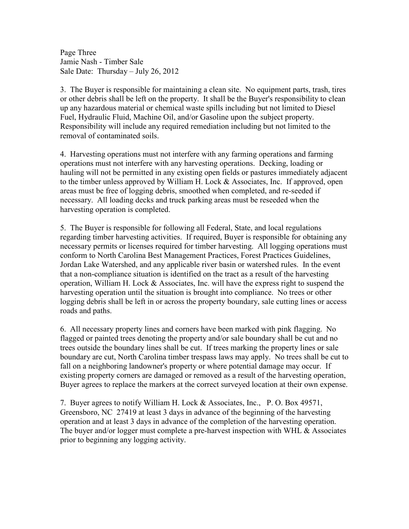Page Three Jamie Nash - Timber Sale Sale Date: Thursday – July 26, 2012

3. The Buyer is responsible for maintaining a clean site. No equipment parts, trash, tires or other debris shall be left on the property. It shall be the Buyer's responsibility to clean up any hazardous material or chemical waste spills including but not limited to Diesel Fuel, Hydraulic Fluid, Machine Oil, and/or Gasoline upon the subject property. Responsibility will include any required remediation including but not limited to the removal of contaminated soils.

4. Harvesting operations must not interfere with any farming operations and farming operations must not interfere with any harvesting operations. Decking, loading or hauling will not be permitted in any existing open fields or pastures immediately adjacent to the timber unless approved by William H. Lock & Associates, Inc. If approved, open areas must be free of logging debris, smoothed when completed, and re-seeded if necessary. All loading decks and truck parking areas must be reseeded when the harvesting operation is completed.

5. The Buyer is responsible for following all Federal, State, and local regulations regarding timber harvesting activities. If required, Buyer is responsible for obtaining any necessary permits or licenses required for timber harvesting. All logging operations must conform to North Carolina Best Management Practices, Forest Practices Guidelines, Jordan Lake Watershed, and any applicable river basin or watershed rules. In the event that a non-compliance situation is identified on the tract as a result of the harvesting operation, William H. Lock & Associates, Inc. will have the express right to suspend the harvesting operation until the situation is brought into compliance. No trees or other logging debris shall be left in or across the property boundary, sale cutting lines or access roads and paths.

6. All necessary property lines and corners have been marked with pink flagging. No flagged or painted trees denoting the property and/or sale boundary shall be cut and no trees outside the boundary lines shall be cut. If trees marking the property lines or sale boundary are cut, North Carolina timber trespass laws may apply. No trees shall be cut to fall on a neighboring landowner's property or where potential damage may occur. If existing property corners are damaged or removed as a result of the harvesting operation, Buyer agrees to replace the markers at the correct surveyed location at their own expense.

7. Buyer agrees to notify William H. Lock & Associates, Inc., P. O. Box 49571, Greensboro, NC 27419 at least 3 days in advance of the beginning of the harvesting operation and at least 3 days in advance of the completion of the harvesting operation. The buyer and/or logger must complete a pre-harvest inspection with WHL & Associates prior to beginning any logging activity.